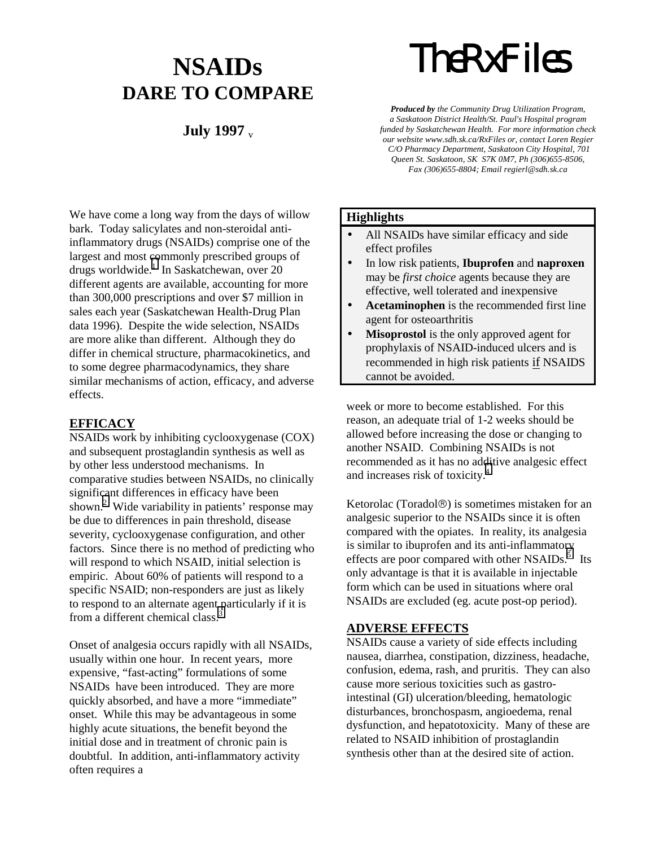## **NSAIDs DARE TO COMPARE**

### **July 1997** v

*TheRxFiles*

*Produced by the Community Drug Utilization Program, a Saskatoon District Health/St. Paul's Hospital program funded by Saskatchewan Health. For more information check our website www.sdh.sk.ca/RxFiles or, contact Loren Regier C/O Pharmacy Department, Saskatoon City Hospital, 701 Queen St. Saskatoon, SK S7K 0M7, Ph (306)655-8506, Fax (306)655-8804; Email regierl@sdh.sk.ca*

We have come a long way from the days of willow bark. Today salicylates and non-steroidal antiinflammatory drugs (NSAIDs) comprise one of the largest and most [co](#page-4-0)mmonly prescribed groups of drugs worldwide.<sup>1</sup> In Saskatchewan, over 20 different agents are available, accounting for more than 300,000 prescriptions and over \$7 million in sales each year (Saskatchewan Health-Drug Plan data 1996). Despite the wide selection, NSAIDs are more alike than different. Although they do differ in chemical structure, pharmacokinetics, and to some degree pharmacodynamics, they share similar mechanisms of action, efficacy, and adverse effects.

#### **EFFICACY**

NSAIDs work by inhibiting cyclooxygenase (COX) and subsequent prostaglandin synthesis as well as by other less understood mechanisms. In comparative studies between NSAIDs, no clinically significant differences in efficacy have been shown.<sup>[2](#page-4-0)</sup> Wide variability in patients' response may be due to differences in pain threshold, disease severity, cyclooxygenase configuration, and other factors. Since there is no method of predicting who will respond to which NSAID, initial selection is empiric. About 60% of patients will respond to a specific NSAID; non-responders are just as likely to respond to an alternate agent particularly if it is from a different chemical class.<sup>[3](#page-4-0)</sup>

Onset of analgesia occurs rapidly with all NSAIDs, usually within one hour. In recent years, more expensive, "fast-acting" formulations of some NSAIDs have been introduced. They are more quickly absorbed, and have a more "immediate" onset. While this may be advantageous in some highly acute situations, the benefit beyond the initial dose and in treatment of chronic pain is doubtful. In addition, anti-inflammatory activity often requires a

#### **Highlights**

- All NSAIDs have similar efficacy and side effect profiles
- In low risk patients, **Ibuprofen** and **naproxen** may be *first choice* agents because they are effective, well tolerated and inexpensive
- **Acetaminophen** is the recommended first line agent for osteoarthritis
- **Misoprostol** is the only approved agent for prophylaxis of NSAID-induced ulcers and is recommended in high risk patients if NSAIDS cannot be avoided.

week or more to become established. For this reason, an adequate trial of 1-2 weeks should be allowed before increasing the dose or changing to another NSAID. Combining NSAIDs is not recommended as it has no ad[di](#page-4-0)tive analgesic effect and increases risk of toxicity.<sup>4</sup>

Ketorolac (Toradol $\circledR$ ) is sometimes mistaken for an analgesic superior to the NSAIDs since it is often compared with the opiates. In reality, its analgesia is similar to ibuprofen and its anti-inflammatory effects are poor compared with other NSAIDs. $\frac{5}{5}$  $\frac{5}{5}$  $\frac{5}{5}$  Its only advantage is that it is available in injectable form which can be used in situations where oral NSAIDs are excluded (eg. acute post-op period).

#### **ADVERSE EFFECTS**

NSAIDs cause a variety of side effects including nausea, diarrhea, constipation, dizziness, headache, confusion, edema, rash, and pruritis. They can also cause more serious toxicities such as gastrointestinal (GI) ulceration/bleeding, hematologic disturbances, bronchospasm, angioedema, renal dysfunction, and hepatotoxicity. Many of these are related to NSAID inhibition of prostaglandin synthesis other than at the desired site of action.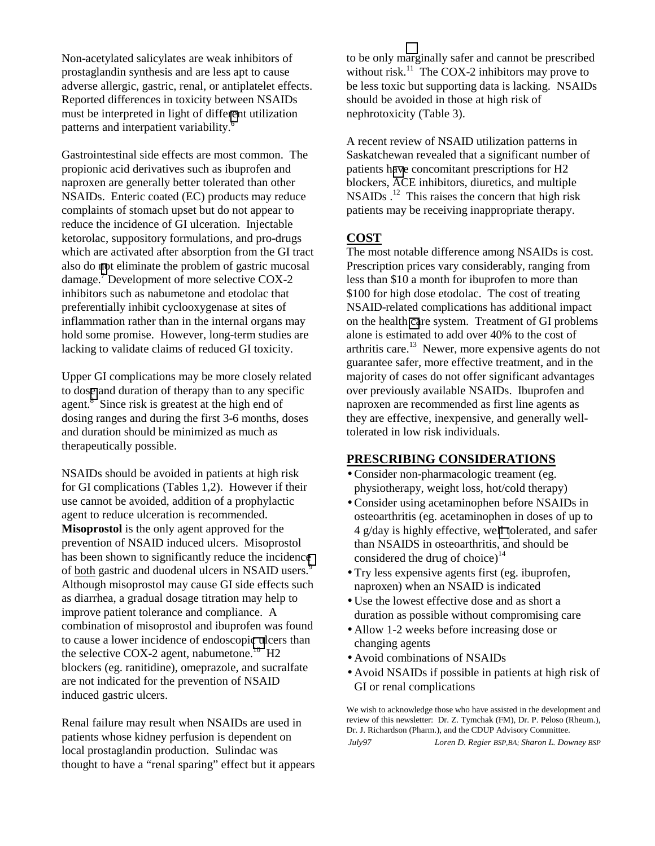Non-acetylated salicylates are weak inhibitors of prostaglandin synthesis and are less apt to cause adverse allergic, gastric, renal, or antiplatelet effects. Reported differences in toxicity between NSAIDs must be interpreted in light of diffe[ren](#page-4-0)t utilization patterns and interpatient variability.<sup>6</sup>

Gastrointestinal side effects are most common. The propionic acid derivatives such as ibuprofen and naproxen are generally better tolerated than other NSAIDs. Enteric coated (EC) products may reduce complaints of stomach upset but do not appear to reduce the incidence of GI ulceration. Injectable ketorolac, suppository formulations, and pro-drugs which are activated after absorption from the GI tract also do [no](#page-4-0)t eliminate the problem of gastric mucosal damage.<sup>7</sup> Development of more selective COX-2 inhibitors such as nabumetone and etodolac that preferentially inhibit cyclooxygenase at sites of inflammation rather than in the internal organs may hold some promise. However, long-term studies are lacking to validate claims of reduced GI toxicity.

Upper GI complications may be more closely related to dos[e](#page-4-0) and duration of therapy than to any specific agent.<sup>8</sup> Since risk is greatest at the high end of dosing ranges and during the first 3-6 months, doses and duration should be minimized as much as therapeutically possible.

NSAIDs should be avoided in patients at high risk for GI complications (Tables 1,2). However if their use cannot be avoided, addition of a prophylactic agent to reduce ulceration is recommended. **Misoprostol** is the only agent approved for the prevention of NSAID induced ulcers. Misoprostol has been shown to significantly reduce the incidenc[e](#page-4-0) of both gastric and duodenal ulcers in NSAID users.<sup>9</sup> Although misoprostol may cause GI side effects such as diarrhea, a gradual dosage titration may help to improve patient tolerance and compliance. A combination of misoprostol and ibuprofen was found to cause a lower incidence of endoscopi[c u](#page-4-0)lcers than the selective COX-2 agent, nabumetone.<sup>10</sup> H2 blockers (eg. ranitidine), omeprazole, and sucralfate are not indicated for the prevention of NSAID induced gastric ulcers.

Renal failure may result when NSAIDs are used in patients whose kidney perfusion is dependent on local prostaglandin production. Sulindac was thought to have a "renal sparing" effect but it appears to be only m[arg](#page-4-0)inally safer and cannot be prescribed without risk.<sup>11</sup> The COX-2 inhibitors may prove to be less toxic but supporting data is lacking. NSAIDs should be avoided in those at high risk of nephrotoxicity (Table 3).

A recent review of NSAID utilization patterns in Saskatchewan revealed that a significant number of patients h[av](#page-4-0)e concomitant prescriptions for H2 blockers, ACE inhibitors, diuretics, and multiple  $NSAIDs$ .<sup>12</sup> This raises the concern that high risk patients may be receiving inappropriate therapy.

#### **COST**

The most notable difference among NSAIDs is cost. Prescription prices vary considerably, ranging from less than \$10 a month for ibuprofen to more than \$100 for high dose etodolac. The cost of treating NSAID-related complications has additional impact on the health [ca](#page-4-0)re system. Treatment of GI problems alone is estimated to add over 40% to the cost of arthritis care.<sup>13</sup> Newer, more expensive agents do not guarantee safer, more effective treatment, and in the majority of cases do not offer significant advantages over previously available NSAIDs. Ibuprofen and naproxen are recommended as first line agents as they are effective, inexpensive, and generally welltolerated in low risk individuals.

#### **PRESCRIBING CONSIDERATIONS**

- Consider non-pharmacologic treament (eg. physiotherapy, weight loss, hot/cold therapy)
- Consider using acetaminophen before NSAIDs in osteoarthritis (eg. acetaminophen in doses of up to 4 g/day is highly effective, we[ll t](#page-4-0)olerated, and safer than NSAIDS in osteoarthritis, and should be considered the drug of choice) $14$
- Try less expensive agents first (eg. ibuprofen, naproxen) when an NSAID is indicated
- Use the lowest effective dose and as short a duration as possible without compromising care
- Allow 1-2 weeks before increasing dose or changing agents
- Avoid combinations of NSAIDs
- Avoid NSAIDs if possible in patients at high risk of GI or renal complications

We wish to acknowledge those who have assisted in the development and review of this newsletter: Dr. Z. Tymchak (FM), Dr. P. Peloso (Rheum.), Dr. J. Richardson (Pharm.), and the CDUP Advisory Committee.

*July97 Loren D. Regier BSP,BA; Sharon L. Downey BSP*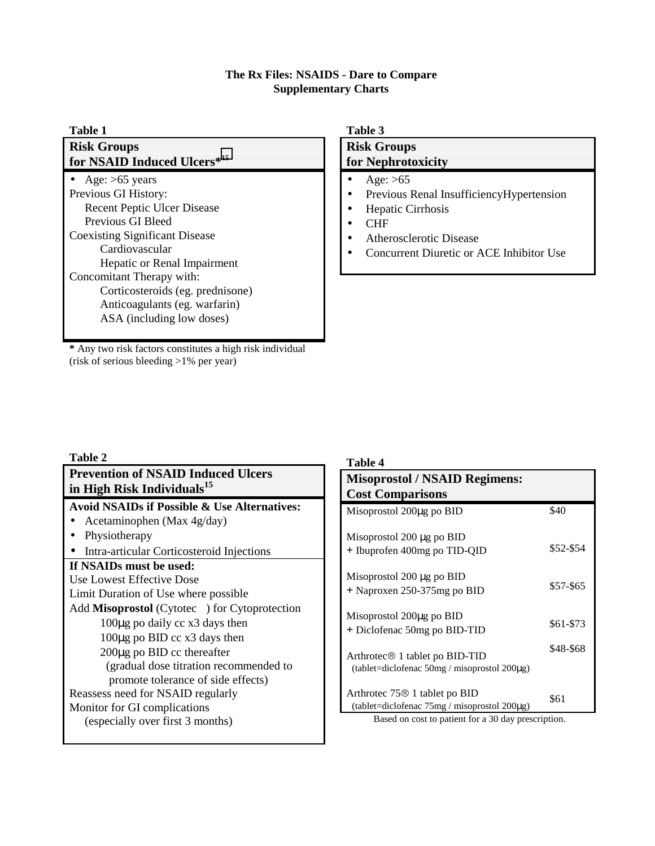#### **The Rx Files: NSAIDS - Dare to Compare Supplementary Charts**

| <b>Table 1</b>                        | Table 3                                   |  |  |
|---------------------------------------|-------------------------------------------|--|--|
| <b>Risk Groups</b>                    | <b>Risk Groups</b>                        |  |  |
| for NSAID Induced Ulcers*15           | for Nephrotoxicity                        |  |  |
| • Age: $>65$ years                    | Age: $>65$                                |  |  |
| Previous GI History:                  | Previous Renal Insufficiency Hypertension |  |  |
| <b>Recent Peptic Ulcer Disease</b>    | $\bullet$                                 |  |  |
| Previous GI Bleed                     | Hepatic Cirrhosis                         |  |  |
| <b>Coexisting Significant Disease</b> | $\bullet$                                 |  |  |
| Cardiovascular                        | <b>CHF</b>                                |  |  |
| Hepatic or Renal Impairment           | $\bullet$                                 |  |  |
| Concomitant Therapy with:             | <b>Atherosclerotic Disease</b>            |  |  |
| Corticosteroids (eg. prednisone)      | $\bullet$                                 |  |  |
| Anticoagulants (eg. warfarin)         | Concurrent Diuretic or ACE Inhibitor Use  |  |  |
| ASA (including low doses)             | $\bullet$                                 |  |  |

**\*** Any two risk factors constitutes a high risk individual (risk of serious bleeding >1% per year)

#### **Table 2**

| <b>Prevention of NSAID Induced Ulcers</b><br>in High Risk Individuals <sup>15</sup>                                                                                                                                                                                                                                                                                                                                                                                                                                                                                                                     | <b>Misoprostol</b> / NS<br><b>Cost Comparisor</b>                                                                                                                                                                                                                                                                         |  |  |
|---------------------------------------------------------------------------------------------------------------------------------------------------------------------------------------------------------------------------------------------------------------------------------------------------------------------------------------------------------------------------------------------------------------------------------------------------------------------------------------------------------------------------------------------------------------------------------------------------------|---------------------------------------------------------------------------------------------------------------------------------------------------------------------------------------------------------------------------------------------------------------------------------------------------------------------------|--|--|
| <b>Avoid NSAIDs if Possible &amp; Use Alternatives:</b><br>Acetaminophen (Max 4g/day)<br>Physiotherapy<br>Intra-articular Corticosteroid Injections<br>If NSAIDs must be used:<br>Use Lowest Effective Dose<br>Limit Duration of Use where possible<br>Add Misoprostol (Cytotec®) for Cytoprotection<br>100µg po daily cc x3 days then<br>$100\mu$ g po BID cc x3 days then<br>$200\mu$ g po BID cc thereafter<br>(gradual dose titration recommended to<br>promote tolerance of side effects)<br>Reassess need for NSAID regularly<br>Monitor for GI complications<br>(especially over first 3 months) | Misoprostol 200µg po<br>Misoprostol $200 \mu g$ p<br>+ Ibuprofen 400mg p<br>Misoprostol 200 µg p<br>+ Naproxen 250-3751<br>Misoprostol 200µg po<br>+ Diclofenac 50mg po<br>Arthrotec <sup>®</sup> 1 tablet p<br>(tablet=diclofenac 50n<br>Arthrotec 75 <sup>®</sup> 1 table<br>(tablet=diclofenac 75n<br>Based on cost to |  |  |
|                                                                                                                                                                                                                                                                                                                                                                                                                                                                                                                                                                                                         |                                                                                                                                                                                                                                                                                                                           |  |  |

#### **Table 4**

| <b>Misoprostol / NSAID Regimens:</b><br><b>Cost Comparisons</b>                        |           |
|----------------------------------------------------------------------------------------|-----------|
| Misoprostol 200µg po BID                                                               | \$40      |
| Misoprostol 200 μg po BID<br>+ Ibuprofen 400mg po TID-QID                              | \$52-\$54 |
| Misoprostol 200 µg po BID<br>+ Naproxen 250-375mg po BID                               | \$57-\$65 |
| Misoprostol 200µg po BID<br>+ Diclofenac 50mg po BID-TID                               | \$61-\$73 |
| $Arthrotec@1$ tablet po BID-TID<br>(tablet=diclofenac $50mg /$ misoprostol $200\mu$ g) | \$48-\$68 |
| Arthrotec $75@1$ tablet po BID<br>(tablet=diclofenac $75mg/m$ isoprostol $200\mu$ g)   | \$61      |

patient for a 30 day prescription.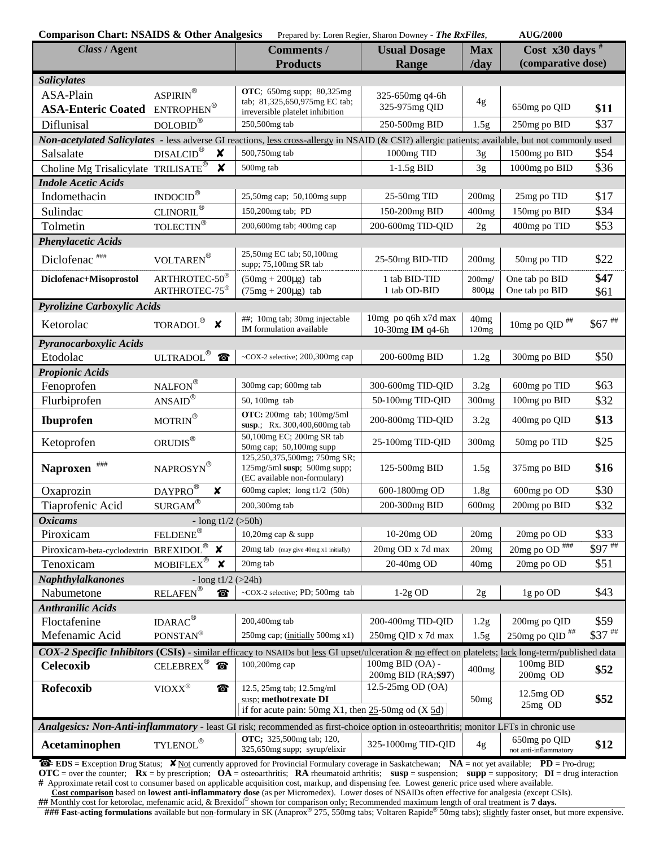| <b>Comparison Chart: NSAIDS &amp; Other Analgesics</b>                                                                                           |                                                        |                                                                                                                                                    | Prepared by: Loren Regier, Sharon Downey - The RxFiles, |                           | <b>AUG/2000</b>                                      |              |  |  |
|--------------------------------------------------------------------------------------------------------------------------------------------------|--------------------------------------------------------|----------------------------------------------------------------------------------------------------------------------------------------------------|---------------------------------------------------------|---------------------------|------------------------------------------------------|--------------|--|--|
| Class / Agent                                                                                                                                    |                                                        | Comments /                                                                                                                                         | <b>Usual Dosage</b>                                     | <b>Max</b>                | Cost $x30 \text{ days}$ #                            |              |  |  |
|                                                                                                                                                  |                                                        | <b>Products</b>                                                                                                                                    | Range                                                   | /day                      | (comparative dose)                                   |              |  |  |
| <b>Salicylates</b>                                                                                                                               |                                                        |                                                                                                                                                    |                                                         |                           |                                                      |              |  |  |
| ASA-Plain                                                                                                                                        | $\text{ASPIRIN}^{\circledR}$                           | OTC; 650mg supp; 80,325mg<br>tab; 81,325,650,975mg EC tab;                                                                                         | 325-650mg q4-6h                                         |                           |                                                      |              |  |  |
| <b>ASA-Enteric Coated ENTROPHEN®</b>                                                                                                             |                                                        | irreversible platelet inhibition                                                                                                                   | 325-975mg QID                                           | 4g                        | 650mg po QID                                         | \$11         |  |  |
| Diflunisal                                                                                                                                       | $\mathop{\rm DOLOBID}\nolimits^\circledR$              | 250,500mg tab                                                                                                                                      | 250-500mg BID                                           | 1.5 <sub>g</sub>          | 250mg po BID                                         | \$37         |  |  |
| Non-acetylated Salicylates - less adverse GI reactions, less cross-allergy in NSAID (& CSI?) allergic patients; available, but not commonly used |                                                        |                                                                                                                                                    |                                                         |                           |                                                      |              |  |  |
| Salsalate                                                                                                                                        | <b>DISALCID®</b><br>×                                  | 500,750mg tab                                                                                                                                      | 1000mg TID                                              | 3g                        | 1500mg po BID                                        | \$54         |  |  |
| Choline Mg Trisalicylate TRILISATE®                                                                                                              | $\boldsymbol{x}$                                       | 500mg tab                                                                                                                                          | $1-1.5g$ BID                                            | 3g                        | 1000mg po BID                                        | \$36         |  |  |
| <b>Indole Acetic Acids</b>                                                                                                                       |                                                        |                                                                                                                                                    |                                                         |                           |                                                      |              |  |  |
| Indomethacin                                                                                                                                     | $\overline{\text{INDOCID}^{\circledR}}$                | 25,50mg cap; 50,100mg supp                                                                                                                         | $25-50mg$ TID                                           | 200mg                     | 25mg po TID                                          | \$17         |  |  |
| Sulindac                                                                                                                                         | $CLINORIL^{\circledR}$                                 | 150,200mg tab; PD                                                                                                                                  | 150-200mg BID                                           | 400mg                     | 150mg po BID                                         | \$34         |  |  |
| Tolmetin                                                                                                                                         | TOLECTIN <sup>®</sup>                                  | 200,600mg tab; 400mg cap                                                                                                                           | 200-600mg TID-QID                                       | 2g                        | 400mg po TID                                         | \$53         |  |  |
| <b>Phenylacetic Acids</b>                                                                                                                        |                                                        |                                                                                                                                                    |                                                         |                           |                                                      |              |  |  |
| Diclofenac <sup>###</sup>                                                                                                                        | $\text{VOLTAREN}^{\circledR}$                          | 25,50mg EC tab; 50,100mg<br>supp; 75,100mg SR tab                                                                                                  | 25-50mg BID-TID                                         | 200mg                     | 50mg po TID                                          | \$22         |  |  |
| Diclofenac+Misoprostol                                                                                                                           | ARTHROTEC-50 <sup>®</sup><br>ARTHROTEC-75 <sup>®</sup> | $(50mg + 200\mu g)$ tab<br>$(75mg + 200\mu g)$ tab                                                                                                 | 1 tab BID-TID<br>1 tab OD-BID                           | $200$ mg/<br>$800\mu g$   | One tab po BID<br>One tab po BID                     | \$47<br>\$61 |  |  |
| Pyrolizine Carboxylic Acids                                                                                                                      |                                                        |                                                                                                                                                    |                                                         |                           |                                                      |              |  |  |
| Ketorolac                                                                                                                                        | TORADOL $^\circledR$ $\,\mathsf{X}\,$                  | ##; 10mg tab; 30mg injectable<br>IM formulation available                                                                                          | 10mg po q6h x7d max<br>10-30mg IM q4-6h                 | 40 <sub>mg</sub><br>120mg | $10\mathrm{mg}$ po QID $^\mathrm{\#}\!\#$            | $\$67$ ##    |  |  |
| Pyranocarboxylic Acids                                                                                                                           |                                                        |                                                                                                                                                    |                                                         |                           |                                                      |              |  |  |
| Etodolac                                                                                                                                         | ULTRADOL <sup>®</sup>                                  | ~COX-2 selective; 200,300mg cap                                                                                                                    | 200-600mg BID                                           | 1.2 <sub>g</sub>          | 300mg po BID                                         | \$50         |  |  |
| <b>Propionic Acids</b>                                                                                                                           |                                                        |                                                                                                                                                    |                                                         |                           |                                                      |              |  |  |
| Fenoprofen                                                                                                                                       | NALFON®                                                | 300mg cap; 600mg tab                                                                                                                               | 300-600mg TID-QID                                       | 3.2 <sub>g</sub>          | 600mg po TID                                         | \$63         |  |  |
| Flurbiprofen                                                                                                                                     | $\underline{\mbox{ANSAID}}^{\circledR}$                | 50, 100mg tab                                                                                                                                      | 50-100mg TID-QID                                        | 300 <sub>mg</sub>         | 100mg po BID                                         | \$32         |  |  |
| <b>Ibuprofen</b>                                                                                                                                 | $\text{MOTRIN}^\circledR$                              | OTC: 200mg tab; 100mg/5ml<br>susp.; Rx. 300,400,600mg tab                                                                                          | 200-800mg TID-QID                                       | 3.2 <sub>g</sub>          | 400mg po QID                                         | \$13         |  |  |
| Ketoprofen                                                                                                                                       | $\mathop{\rm ORUDIS}\nolimits^\circledR$               | 50,100mg EC; 200mg SR tab<br>50mg cap; 50,100mg supp                                                                                               | 25-100mg TID-QID                                        | 300mg                     | 50mg po TID                                          | \$25         |  |  |
| ###<br><b>Naproxen</b>                                                                                                                           | NAPROSYN®                                              | 125,250,375,500mg; 750mg SR;<br>$125mg/5ml$ susp; 500mg supp;<br>(EC available non-formulary)                                                      | 125-500mg BID                                           | 1.5g                      | 375mg po BID                                         | \$16         |  |  |
| Oxaprozin                                                                                                                                        | $\underline{\text{DAYPRO}}^\circledR$<br>X             | 600mg caplet; $long\ t1/2$ (50h)                                                                                                                   | 600-1800mg OD                                           | 1.8 <sub>g</sub>          | 600mg po OD                                          | \$30         |  |  |
| Tiaprofenic Acid                                                                                                                                 | $\texttt{SURGAM}^\circledR$                            | 200,300mg tab                                                                                                                                      | 200-300mg BID                                           | 600mg                     | 200 <sub>mg</sub> po BID                             | \$32         |  |  |
| <b>Oxicams</b>                                                                                                                                   | - long $t1/2$ ( $>50h$ )                               |                                                                                                                                                    |                                                         |                           |                                                      |              |  |  |
| Piroxicam                                                                                                                                        | FELDENE®                                               | 10,20mg cap & supp                                                                                                                                 | 10-20mg OD                                              | 20mg                      | 20mg po OD                                           | \$33         |  |  |
| Piroxicam-beta-cyclodextrin_BREXIDOL®                                                                                                            | $\boldsymbol{\mathsf{x}}$                              | $20mg$ tab (may give 40mg x1 initially)                                                                                                            | 20mg OD x 7d max                                        | 20mg                      | $20\text{mg po}$ OD $^{\text{\#}\text{\#}\text{\#}}$ | $$97$ ***    |  |  |
| Tenoxicam                                                                                                                                        | $\text{MOBIFLEX}^\circledR$<br>X                       | 20mg tab                                                                                                                                           | 20-40mg OD                                              | 40 <sub>mg</sub>          | 20mg po OD                                           | \$51         |  |  |
| <b>Naphthylalkanones</b>                                                                                                                         | - $\log t1/2$ (>24h)                                   |                                                                                                                                                    |                                                         |                           |                                                      |              |  |  |
| Nabumetone                                                                                                                                       | $RELAFEN^@$                                            | ~COX-2 selective; PD; 500mg tab                                                                                                                    | $1-2g$ OD                                               | 2g                        | 1g po OD                                             | \$43         |  |  |
| <b>Anthranilic Acids</b>                                                                                                                         |                                                        |                                                                                                                                                    |                                                         |                           |                                                      |              |  |  |
| Floctafenine                                                                                                                                     | $IDARAC^{\circledast}$                                 | 200,400mg tab                                                                                                                                      | 200-400mg TID-QID                                       | 1.2g                      | 200mg po QID                                         | \$59         |  |  |
| Mefenamic Acid                                                                                                                                   | PONSTAN®                                               | 250mg cap; (initially 500mg x1)                                                                                                                    | 250mg QID x 7d max                                      | 1.5g                      | 250mg po QID <sup>##</sup>                           | $$37$ ***    |  |  |
|                                                                                                                                                  |                                                        | COX-2 Specific Inhibitors (CSIs) - similar efficacy to NSAIDs but less GI upset/ulceration & no effect on platelets; lack long-term/published data |                                                         |                           |                                                      |              |  |  |
| <b>Celecoxib</b>                                                                                                                                 | CELEBREX®<br>◈                                         | 100,200mg cap                                                                                                                                      | 100mg BID (OA) -<br>200mg BID (RA; \$97)                | 400mg                     | 100mg BID<br>200mg OD                                | \$52         |  |  |
| Rofecoxib                                                                                                                                        | $\text{VIOXX}^{\circledR}$<br>◈                        | 12.5, 25mg tab; 12.5mg/ml<br>susp: methotrexate DI                                                                                                 | 12.5-25mg OD (OA)                                       |                           | $12.5mg$ OD                                          | \$52         |  |  |
|                                                                                                                                                  |                                                        | if for acute pain: 50mg $X1$ , then $25-50$ mg od $(X 5d)$                                                                                         |                                                         | 50mg                      | 25mg OD                                              |              |  |  |
| Analgesics: Non-Anti-inflammatory - least GI risk; recommended as first-choice option in osteoarthritis; monitor LFTs in chronic use             |                                                        |                                                                                                                                                    |                                                         |                           |                                                      |              |  |  |
|                                                                                                                                                  |                                                        | <b>OTC</b> ; 325,500mg tab; 120,                                                                                                                   |                                                         |                           | 650mg po QID                                         |              |  |  |
| Acetaminophen                                                                                                                                    | TYLENOL®                                               | 325,650mg supp; syrup/elixir                                                                                                                       | 325-1000mg TID-QID                                      | 4g                        | not anti-inflammatory                                | \$12         |  |  |

☎ = **EDS** = **E**xception **D**rug **S**tatus; ✘ Not currently approved for Provincial Formulary coverage in Saskatchewan; **NA** = not yet available; **PD** = Pro-drug; **OTC** = over the counter;  $\mathbf{Rx} = \mathbf{by}$  prescription;  $\mathbf{OA} = \mathbf{ot}$  asteoarthritis;  $\mathbf{RA}$  rheumatoid arthritis;  $\mathbf{susp} = \mathbf{supp} = \mathbf{supp} \times \mathbf{supp} = \mathbf{supp} \times \mathbf{op}$ ;  $\mathbf{DI} = \mathbf{diag}$  interaction **#** Approximate retail cost to consumer based on applicable acquisition cost, markup, and dispensing fee. Lowest generic price used where available.

Cost comparison based on lowest anti-inflammatory dose (as per Micromedex). Lower doses of NSAIDs often effective for analgesia (except CSIs).<br>## Monthly cost for ketorolac, mefenamic acid, & Brexidol® shown for comparison

**### Fast-acting formulations** available but <u>non</u>-formulary in SK (Anaprox<sup>®</sup> 275, 550mg tabs; Voltaren Rapide<sup>®</sup> 50mg tabs); slightly faster onset, but more expensive.